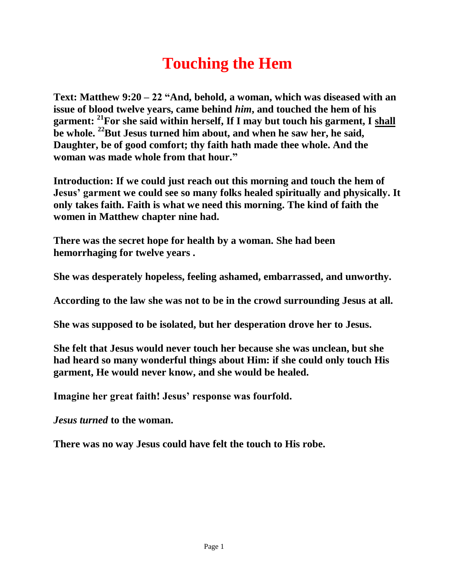## **Touching the Hem**

**Text: Matthew 9:20 – 22 "And, behold, a woman, which was diseased with an issue of blood twelve years, came behind** *him***, and touched the hem of his garment: <sup>21</sup>For she said within herself, If I may but touch his garment, I shall be whole. <sup>22</sup>But Jesus turned him about, and when he saw her, he said, Daughter, be of good comfort; thy faith hath made thee whole. And the woman was made whole from that hour."**

**Introduction: If we could just reach out this morning and touch the hem of Jesus' garment we could see so many folks healed spiritually and physically. It only takes faith. Faith is what we need this morning. The kind of faith the women in Matthew chapter nine had.**

**There was the secret hope for health by a woman. She had been hemorrhaging for twelve years .** 

**She was desperately hopeless, feeling ashamed, embarrassed, and unworthy.** 

**According to the law she was not to be in the crowd surrounding Jesus at all.** 

**She was supposed to be isolated, but her desperation drove her to Jesus.** 

**She felt that Jesus would never touch her because she was unclean, but she had heard so many wonderful things about Him: if she could only touch His garment, He would never know, and she would be healed.** 

**Imagine her great faith! Jesus' response was fourfold.**

*Jesus turned* **to the woman.** 

**There was no way Jesus could have felt the touch to His robe.**